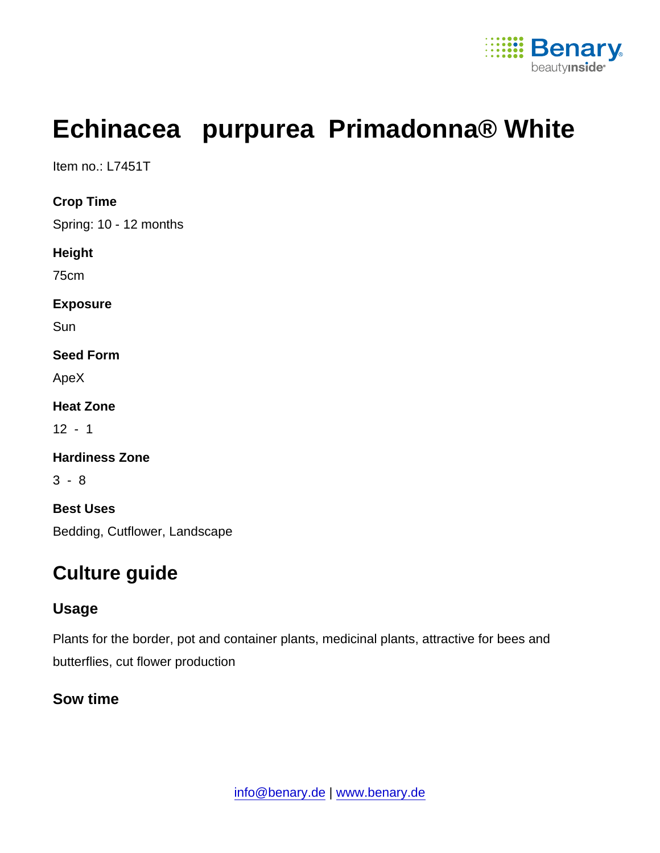

# Echinacea purpurea Primadonna® White

Item no.: L7451T

Crop Time

Spring: 10 - 12 months

Height

75cm

Exposure

**Sun** 

Seed Form

ApeX

Heat Zone

 $12 - 1$ 

Hardiness Zone

3 - 8

Best Uses Bedding, Cutflower, Landscape

# Culture guide

## Usage

Plants for the border, pot and container plants, medicinal plants, attractive for bees and butterflies, cut flower production

Sow time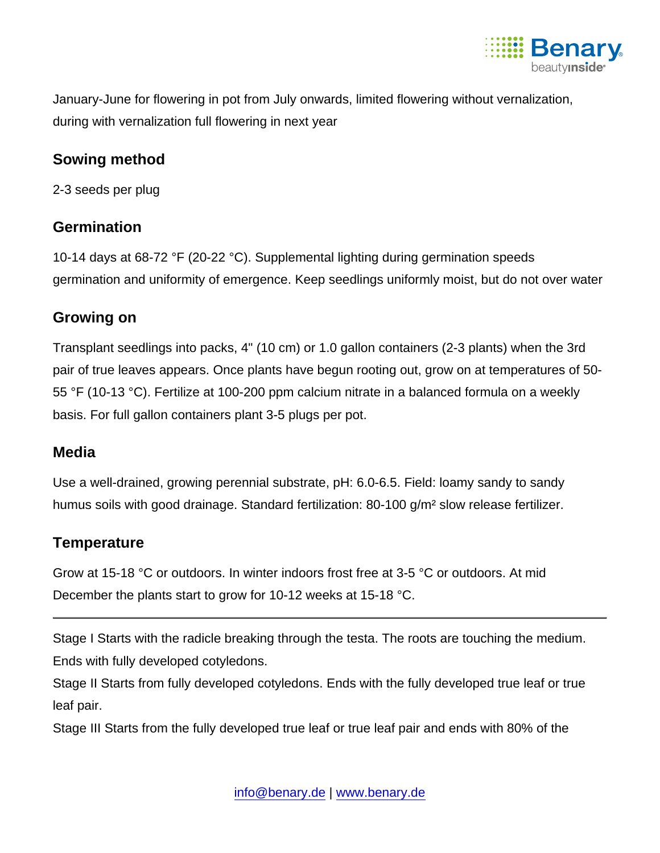

January-June for flowering in pot from July onwards, limited flowering without vernalization, during with vernalization full flowering in next year

#### Sowing method

2-3 seeds per plug

## **Germination**

10-14 days at 68-72 °F (20-22 °C). Supplemental lighting during germination speeds germination and uniformity of emergence. Keep seedlings uniformly moist, but do not over water

#### Growing on

Transplant seedlings into packs, 4" (10 cm) or 1.0 gallon containers (2-3 plants) when the 3rd pair of true leaves appears. Once plants have begun rooting out, grow on at temperatures of 50- 55 °F (10-13 °C). Fertilize at 100-200 ppm calcium nitrate in a balanced formula on a weekly basis. For full gallon containers plant 3-5 plugs per pot.

## Media

Use a well-drained, growing perennial substrate, pH: 6.0-6.5. Field: loamy sandy to sandy humus soils with good drainage. Standard fertilization: 80-100 g/m² slow release fertilizer.

## **Temperature**

Grow at 15-18 °C or outdoors. In winter indoors frost free at 3-5 °C or outdoors. At mid December the plants start to grow for 10-12 weeks at 15-18 °C.

Stage I Starts with the radicle breaking through the testa. The roots are touching the medium. Ends with fully developed cotyledons.

Stage II Starts from fully developed cotyledons. Ends with the fully developed true leaf or true leaf pair.

Stage III Starts from the fully developed true leaf or true leaf pair and ends with 80% of the